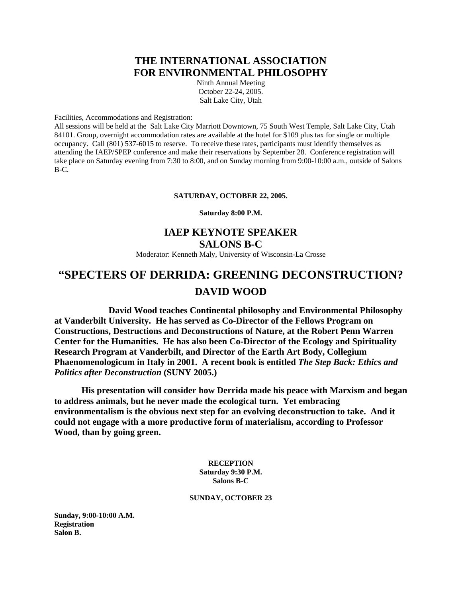# **THE INTERNATIONAL ASSOCIATION FOR ENVIRONMENTAL PHILOSOPHY**

Ninth Annual Meeting October 22-24, 2005. Salt Lake City, Utah

Facilities, Accommodations and Registration:

All sessions will be held at the Salt Lake City Marriott Downtown, 75 South West Temple, Salt Lake City, Utah 84101. Group, overnight accommodation rates are available at the hotel for \$109 plus tax for single or multiple occupancy. Call (801) 537-6015 to reserve. To receive these rates, participants must identify themselves as attending the IAEP/SPEP conference and make their reservations by September 28. Conference registration will take place on Saturday evening from 7:30 to 8:00, and on Sunday morning from 9:00-10:00 a.m., outside of Salons B-C.

#### **SATURDAY, OCTOBER 22, 2005.**

#### **Saturday 8:00 P.M.**

# **IAEP KEYNOTE SPEAKER SALONS B-C**

Moderator: Kenneth Maly, University of Wisconsin-La Crosse

# **"SPECTERS OF DERRIDA: GREENING DECONSTRUCTION? DAVID WOOD**

 **David Wood teaches Continental philosophy and Environmental Philosophy at Vanderbilt University. He has served as Co-Director of the Fellows Program on Constructions, Destructions and Deconstructions of Nature, at the Robert Penn Warren Center for the Humanities. He has also been Co-Director of the Ecology and Spirituality Research Program at Vanderbilt, and Director of the Earth Art Body, Collegium Phaenomenologicum in Italy in 2001. A recent book is entitled** *The Step Back: Ethics and Politics after Deconstruction* **(SUNY 2005.)** 

 **His presentation will consider how Derrida made his peace with Marxism and began to address animals, but he never made the ecological turn. Yet embracing environmentalism is the obvious next step for an evolving deconstruction to take. And it could not engage with a more productive form of materialism, according to Professor Wood, than by going green.** 

> **RECEPTION Saturday 9:30 P.M. Salons B-C**

### **SUNDAY, OCTOBER 23**

**Sunday, 9:00-10:00 A.M. Registration Salon B.**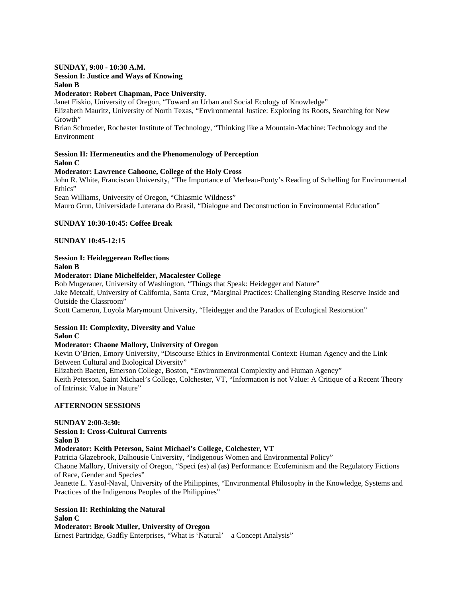#### **SUNDAY, 9:00 - 10:30 A.M.**

# **Session I: Justice and Ways of Knowing**

**Salon B** 

### **Moderator: Robert Chapman, Pace University.**

Janet Fiskio, University of Oregon, "Toward an Urban and Social Ecology of Knowledge" Elizabeth Mauritz, University of North Texas, "Environmental Justice: Exploring its Roots, Searching for New Growth"

Brian Schroeder, Rochester Institute of Technology, "Thinking like a Mountain-Machine: Technology and the Environment

### **Session II: Hermeneutics and the Phenomenology of Perception Salon C**

# **Moderator: Lawrence Cahoone, College of the Holy Cross**

John R. White, Franciscan University, "The Importance of Merleau-Ponty's Reading of Schelling for Environmental Ethics"

Sean Williams, University of Oregon, "Chiasmic Wildness"

Mauro Grun, Universidade Luterana do Brasil, "Dialogue and Deconstruction in Environmental Education"

# **SUNDAY 10:30-10:45: Coffee Break**

# **SUNDAY 10:45-12:15**

#### **Session I: Heideggerean Reflections Salon B**

# **Moderator: Diane Michelfelder, Macalester College**

Bob Mugerauer, University of Washington, "Things that Speak: Heidegger and Nature" Jake Metcalf, University of California, Santa Cruz, "Marginal Practices: Challenging Standing Reserve Inside and Outside the Classroom"

Scott Cameron, Loyola Marymount University, "Heidegger and the Paradox of Ecological Restoration"

#### **Session II: Complexity, Diversity and Value Salon C**

# **Moderator: Chaone Mallory, University of Oregon**

Kevin O'Brien, Emory University, "Discourse Ethics in Environmental Context: Human Agency and the Link Between Cultural and Biological Diversity"

Elizabeth Baeten, Emerson College, Boston, "Environmental Complexity and Human Agency"

Keith Peterson, Saint Michael's College, Colchester, VT, "Information is not Value: A Critique of a Recent Theory of Intrinsic Value in Nature"

### **AFTERNOON SESSIONS**

#### **SUNDAY 2:00-3:30: Session I: Cross-Cultural Currents Salon B Moderator: Keith Peterson, Saint Michael's College, Colchester, VT** Patricia Glazebrook, Dalhousie University, "Indigenous Women and Environmental Policy"

Chaone Mallory, University of Oregon, "Speci (es) al (as) Performance: Ecofeminism and the Regulatory Fictions of Race, Gender and Species"

Jeanette L. Yasol-Naval, University of the Philippines, "Environmental Philosophy in the Knowledge, Systems and Practices of the Indigenous Peoples of the Philippines"

# **Session II: Rethinking the Natural**

# **Salon C**

**Moderator: Brook Muller, University of Oregon** Ernest Partridge, Gadfly Enterprises, "What is 'Natural' – a Concept Analysis"